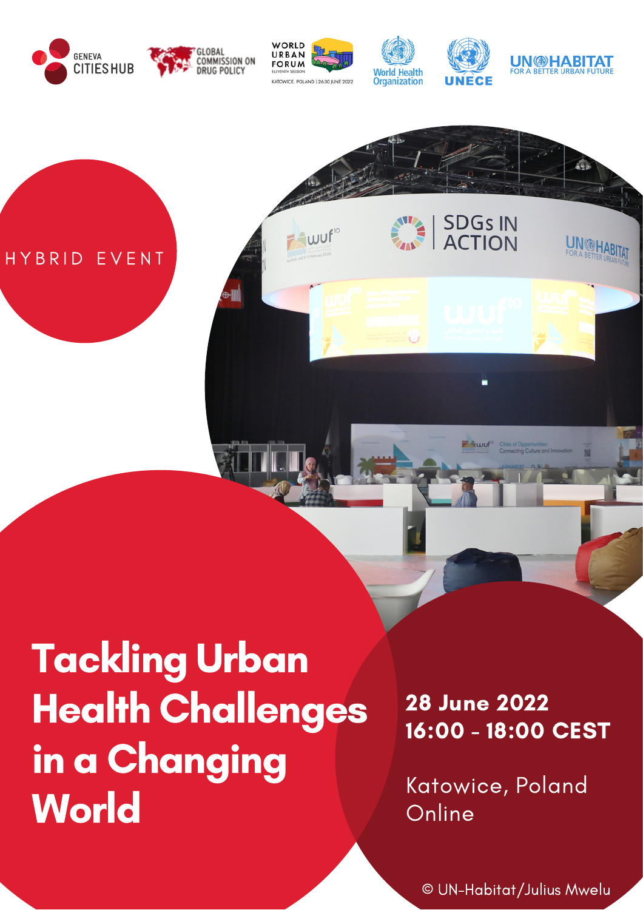

wuf<sup>10</sup>

HYBRID EVENT



UN DHABITAT

SDG<sub>S</sub> IN

## Tackling Urban Health Challenges in a Changing **World**

28 June 2022 16:00 - 18:00 CEST

Katowice, Poland **Online** 

© UN-Habitat/Julius Mwelu